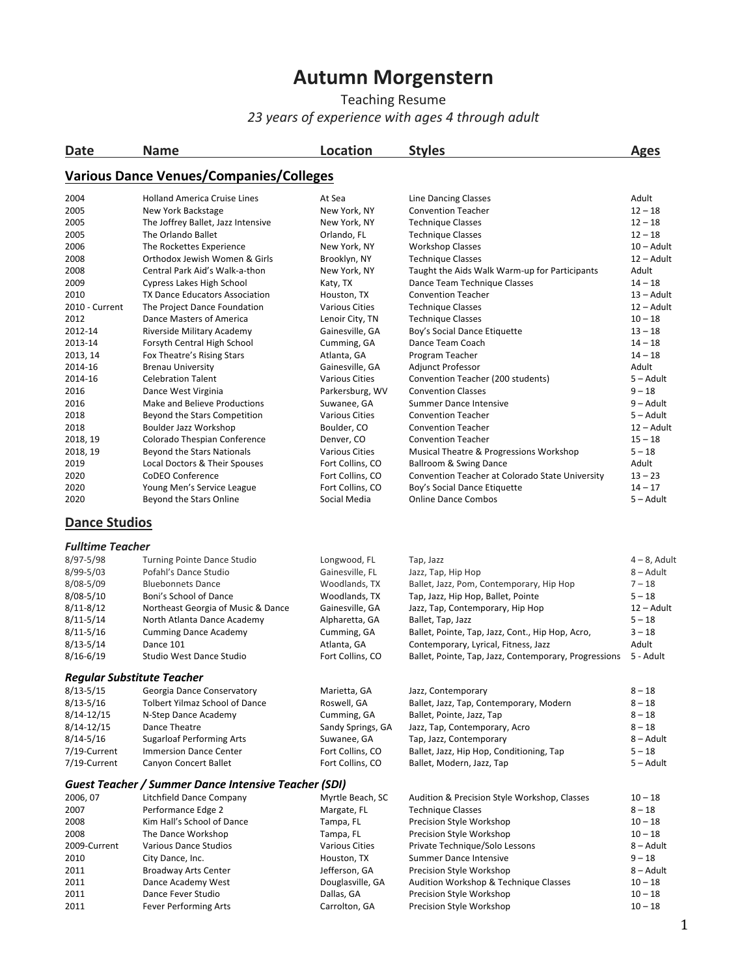## **Autumn Morgenstern**

Teaching Resume *23 years of experience with ages 4 through adult*

| Date                              | <b>Name</b>                                                 | <b>Location</b>                      | <b>Styles</b>                                                         | <b>Ages</b>           |
|-----------------------------------|-------------------------------------------------------------|--------------------------------------|-----------------------------------------------------------------------|-----------------------|
|                                   | <b>Various Dance Venues/Companies/Colleges</b>              |                                      |                                                                       |                       |
| 2004                              | <b>Holland America Cruise Lines</b>                         | At Sea                               | Line Dancing Classes                                                  | Adult                 |
| 2005                              | New York Backstage                                          | New York, NY                         | <b>Convention Teacher</b>                                             | $12 - 18$             |
| 2005                              | The Joffrey Ballet, Jazz Intensive                          | New York, NY                         | <b>Technique Classes</b>                                              | $12 - 18$             |
| 2005                              | The Orlando Ballet                                          | Orlando, FL                          | <b>Technique Classes</b>                                              | $12 - 18$             |
| 2006                              | The Rockettes Experience                                    | New York, NY                         | <b>Workshop Classes</b>                                               | $10 -$ Adult          |
| 2008                              | Orthodox Jewish Women & Girls                               | Brooklyn, NY                         | <b>Technique Classes</b>                                              | $12 -$ Adult          |
| 2008                              | Central Park Aid's Walk-a-thon                              | New York, NY                         | Taught the Aids Walk Warm-up for Participants                         | Adult                 |
| 2009                              | Cypress Lakes High School                                   | Katy, TX                             | Dance Team Technique Classes                                          | $14 - 18$             |
| 2010                              | TX Dance Educators Association                              | Houston, TX                          | <b>Convention Teacher</b>                                             | $13 -$ Adult          |
| 2010 - Current                    | The Project Dance Foundation                                | <b>Various Cities</b>                | <b>Technique Classes</b>                                              | 12 – Adult            |
| 2012                              | Dance Masters of America                                    | Lenoir City, TN                      | <b>Technique Classes</b>                                              | $10 - 18$             |
| 2012-14                           | Riverside Military Academy                                  | Gainesville, GA                      | Boy's Social Dance Etiquette                                          | $13 - 18$             |
| 2013-14                           | Forsyth Central High School                                 | Cumming, GA                          | Dance Team Coach                                                      | $14 - 18$             |
| 2013, 14                          | Fox Theatre's Rising Stars                                  | Atlanta, GA                          | Program Teacher                                                       | $14 - 18$             |
| 2014-16                           | <b>Brenau University</b>                                    | Gainesville, GA                      | Adjunct Professor                                                     | Adult                 |
| 2014-16                           | <b>Celebration Talent</b>                                   | <b>Various Cities</b>                | Convention Teacher (200 students)                                     | $5 -$ Adult           |
| 2016                              | Dance West Virginia                                         | Parkersburg, WV                      | <b>Convention Classes</b>                                             | $9 - 18$              |
| 2016                              | Make and Believe Productions                                | Suwanee, GA                          | Summer Dance Intensive                                                | 9 – Adult             |
| 2018                              | Beyond the Stars Competition                                | <b>Various Cities</b>                | <b>Convention Teacher</b>                                             | 5 – Adult             |
| 2018                              | Boulder Jazz Workshop                                       | Boulder, CO                          | <b>Convention Teacher</b>                                             | 12 – Adult            |
| 2018, 19                          | Colorado Thespian Conference                                | Denver, CO                           | <b>Convention Teacher</b>                                             | $15 - 18$             |
| 2018, 19                          | Beyond the Stars Nationals                                  | <b>Various Cities</b>                | Musical Theatre & Progressions Workshop                               | $5 - 18$              |
| 2019                              | Local Doctors & Their Spouses                               | Fort Collins, CO                     | Ballroom & Swing Dance                                                | Adult                 |
| 2020                              | CoDEO Conference                                            | Fort Collins, CO                     | Convention Teacher at Colorado State University                       | $13 - 23$             |
| 2020                              | Young Men's Service League                                  | Fort Collins, CO                     | Boy's Social Dance Etiquette                                          | $14 - 17$             |
| 2020                              | Beyond the Stars Online                                     | Social Media                         | <b>Online Dance Combos</b>                                            | $5 -$ Adult           |
| <b>Dance Studios</b>              |                                                             |                                      |                                                                       |                       |
| <b>Fulltime Teacher</b>           |                                                             |                                      |                                                                       |                       |
| 8/97-5/98                         | <b>Turning Pointe Dance Studio</b>                          | Longwood, FL                         | Tap, Jazz                                                             | $4 - 8$ , Adult       |
| $8/99 - 5/03$                     | Pofahl's Dance Studio                                       | Gainesville, FL                      | Jazz, Tap, Hip Hop                                                    | 8-Adult               |
| $8/08 - 5/09$                     | <b>Bluebonnets Dance</b>                                    | Woodlands, TX                        | Ballet, Jazz, Pom, Contemporary, Hip Hop                              | $7 - 18$              |
| $8/08 - 5/10$                     | Boni's School of Dance                                      | Woodlands, TX                        | Tap, Jazz, Hip Hop, Ballet, Pointe                                    | $5 - 18$              |
| $8/11 - 8/12$                     | Northeast Georgia of Music & Dance                          | Gainesville, GA                      | Jazz, Tap, Contemporary, Hip Hop                                      | 12 – Adult            |
| $8/11 - 5/14$                     | North Atlanta Dance Academy                                 | Alpharetta, GA                       | Ballet, Tap, Jazz                                                     | $5 - 18$              |
| $8/11 - 5/16$                     | <b>Cumming Dance Academy</b>                                | Cumming, GA                          | Ballet, Pointe, Tap, Jazz, Cont., Hip Hop, Acro,                      | $3 - 18$              |
| $8/13 - 5/14$                     | Dance 101                                                   | Atlanta, GA                          | Contemporary, Lyrical, Fitness, Jazz                                  | Adult                 |
| $8/16 - 6/19$                     | Studio West Dance Studio                                    | Fort Collins, CO                     | Ballet, Pointe, Tap, Jazz, Contemporary, Progressions                 | 5 - Adult             |
| <b>Regular Substitute Teacher</b> |                                                             |                                      |                                                                       |                       |
| $8/13 - 5/15$                     | Georgia Dance Conservatory                                  | Marietta, GA                         | Jazz, Contemporary                                                    | $8 - 18$              |
| $8/13 - 5/16$                     | <b>Tolbert Yilmaz School of Dance</b>                       | Roswell, GA                          | Ballet, Jazz, Tap, Contemporary, Modern                               | $8 - 18$              |
| 8/14-12/15                        | N-Step Dance Academy                                        | Cumming, GA                          | Ballet, Pointe, Jazz, Tap                                             | $8 - 18$              |
| 8/14-12/15                        | Dance Theatre                                               | Sandy Springs, GA                    | Jazz, Tap, Contemporary, Acro                                         | $8 - 18$              |
| $8/14 - 5/16$                     | <b>Sugarloaf Performing Arts</b>                            | Suwanee, GA                          | Tap, Jazz, Contemporary                                               | 8-Adult               |
| 7/19-Current<br>7/19-Current      | <b>Immersion Dance Center</b><br>Canyon Concert Ballet      | Fort Collins, CO<br>Fort Collins, CO | Ballet, Jazz, Hip Hop, Conditioning, Tap<br>Ballet, Modern, Jazz, Tap | $5 - 18$<br>5 – Adult |
|                                   | <b>Guest Teacher / Summer Dance Intensive Teacher (SDI)</b> |                                      |                                                                       |                       |
| 2006, 07                          | Litchfield Dance Company                                    | Myrtle Beach, SC                     | Audition & Precision Style Workshop, Classes                          | $10 - 18$             |
| 2007                              | Performance Edge 2                                          | Margate, FL                          | <b>Technique Classes</b>                                              | $8 - 18$              |
| 2008                              | Kim Hall's School of Dance                                  | Tampa, FL                            | Precision Style Workshop                                              | $10 - 18$             |
| 2008                              | The Dance Workshop                                          | Tampa, FL                            | Precision Style Workshop                                              | $10 - 18$             |
| 2009-Current                      | Various Dance Studios                                       | <b>Various Cities</b>                | Private Technique/Solo Lessons                                        | 8 – Adult             |
| 2010                              | City Dance, Inc.                                            | Houston, TX                          | Summer Dance Intensive                                                | $9 - 18$              |
| 2011                              | <b>Broadway Arts Center</b>                                 | Jefferson, GA                        | Precision Style Workshop                                              | 8 – Adult             |
| 2011                              | Dance Academy West                                          | Douglasville, GA                     | Audition Workshop & Technique Classes                                 | $10 - 18$             |
| 2011                              | Dance Fever Studio                                          | Dallas, GA                           | Precision Style Workshop                                              | $10 - 18$             |
| 2011                              | <b>Fever Performing Arts</b>                                | Carrolton, GA                        | Precision Style Workshop                                              | $10 - 18$             |
|                                   |                                                             |                                      |                                                                       |                       |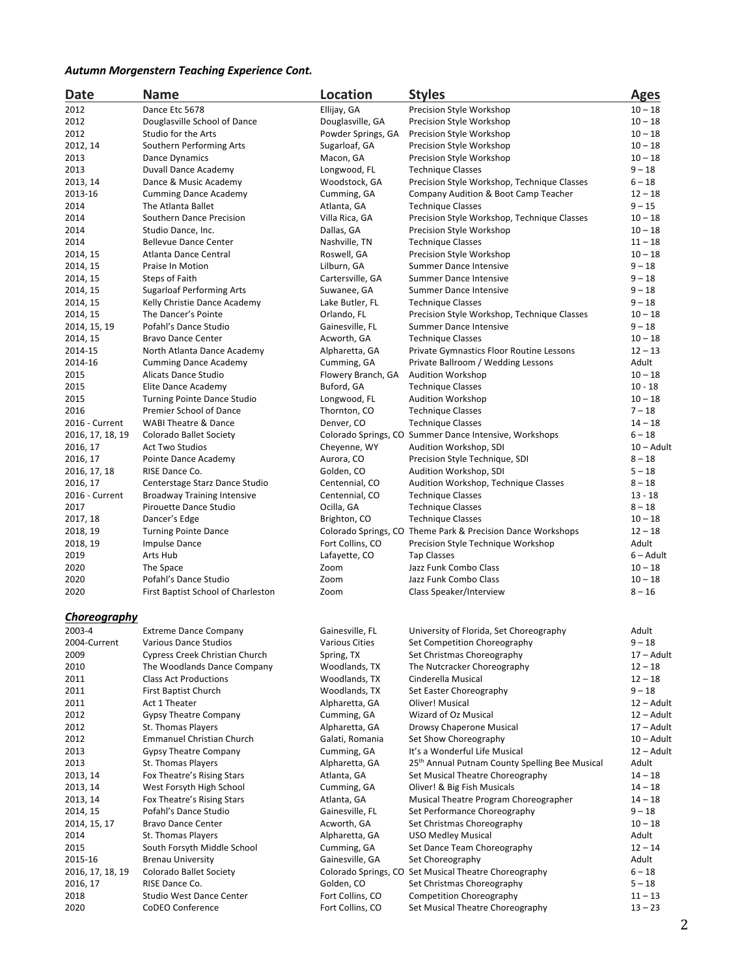## *Autumn Morgenstern Teaching Experience Cont.*

| Date                | <b>Name</b>                        | Location              | <b>Styles</b>                                               | <b>Ages</b>  |
|---------------------|------------------------------------|-----------------------|-------------------------------------------------------------|--------------|
| 2012                | Dance Etc 5678                     | Ellijay, GA           | Precision Style Workshop                                    | $10 - 18$    |
| 2012                | Douglasville School of Dance       | Douglasville, GA      | Precision Style Workshop                                    | $10 - 18$    |
| 2012                | Studio for the Arts                | Powder Springs, GA    | Precision Style Workshop                                    | $10 - 18$    |
| 2012, 14            | Southern Performing Arts           | Sugarloaf, GA         | Precision Style Workshop                                    | $10 - 18$    |
| 2013                | <b>Dance Dynamics</b>              | Macon, GA             | Precision Style Workshop                                    | $10 - 18$    |
| 2013                | Duvall Dance Academy               | Longwood, FL          | <b>Technique Classes</b>                                    | $9 - 18$     |
| 2013, 14            | Dance & Music Academy              | Woodstock, GA         | Precision Style Workshop, Technique Classes                 | $6 - 18$     |
| 2013-16             | <b>Cumming Dance Academy</b>       | Cumming, GA           | Company Audition & Boot Camp Teacher                        | $12 - 18$    |
| 2014                | The Atlanta Ballet                 | Atlanta, GA           | <b>Technique Classes</b>                                    | $9 - 15$     |
| 2014                | Southern Dance Precision           | Villa Rica, GA        | Precision Style Workshop, Technique Classes                 | $10 - 18$    |
| 2014                | Studio Dance, Inc.                 | Dallas, GA            | Precision Style Workshop                                    | $10 - 18$    |
| 2014                | <b>Bellevue Dance Center</b>       | Nashville, TN         | <b>Technique Classes</b>                                    | $11 - 18$    |
| 2014, 15            | Atlanta Dance Central              | Roswell, GA           | Precision Style Workshop                                    | $10 - 18$    |
| 2014, 15            | Praise In Motion                   | Lilburn, GA           |                                                             | $9 - 18$     |
|                     |                                    |                       | Summer Dance Intensive<br>Summer Dance Intensive            | $9 - 18$     |
| 2014, 15            | Steps of Faith                     | Cartersville, GA      | Summer Dance Intensive                                      | $9 - 18$     |
| 2014, 15            | <b>Sugarloaf Performing Arts</b>   | Suwanee, GA           |                                                             |              |
| 2014, 15            | Kelly Christie Dance Academy       | Lake Butler, FL       | <b>Technique Classes</b>                                    | $9 - 18$     |
| 2014, 15            | The Dancer's Pointe                | Orlando, FL           | Precision Style Workshop, Technique Classes                 | $10 - 18$    |
| 2014, 15, 19        | Pofahl's Dance Studio              | Gainesville, FL       | Summer Dance Intensive                                      | $9 - 18$     |
| 2014, 15            | <b>Bravo Dance Center</b>          | Acworth, GA           | <b>Technique Classes</b>                                    | $10 - 18$    |
| 2014-15             | North Atlanta Dance Academy        | Alpharetta, GA        | Private Gymnastics Floor Routine Lessons                    | $12 - 13$    |
| 2014-16             | <b>Cumming Dance Academy</b>       | Cumming, GA           | Private Ballroom / Wedding Lessons                          | Adult        |
| 2015                | Alicats Dance Studio               | Flowery Branch, GA    | <b>Audition Workshop</b>                                    | $10 - 18$    |
| 2015                | Elite Dance Academy                | Buford, GA            | <b>Technique Classes</b>                                    | $10 - 18$    |
| 2015                | <b>Turning Pointe Dance Studio</b> | Longwood, FL          | <b>Audition Workshop</b>                                    | $10 - 18$    |
| 2016                | Premier School of Dance            | Thornton, CO          | <b>Technique Classes</b>                                    | $7 - 18$     |
| 2016 - Current      | <b>WABI Theatre &amp; Dance</b>    | Denver, CO            | <b>Technique Classes</b>                                    | $14 - 18$    |
| 2016, 17, 18, 19    | <b>Colorado Ballet Society</b>     |                       | Colorado Springs, CO Summer Dance Intensive, Workshops      | $6 - 18$     |
| 2016, 17            | <b>Act Two Studios</b>             | Cheyenne, WY          | Audition Workshop, SDI                                      | $10 -$ Adult |
| 2016, 17            | Pointe Dance Academy               | Aurora, CO            | Precision Style Technique, SDI                              | $8 - 18$     |
| 2016, 17, 18        | RISE Dance Co.                     | Golden, CO            | Audition Workshop, SDI                                      | $5 - 18$     |
| 2016, 17            | Centerstage Starz Dance Studio     | Centennial, CO        | Audition Workshop, Technique Classes                        | $8 - 18$     |
| 2016 - Current      | <b>Broadway Training Intensive</b> | Centennial, CO        | <b>Technique Classes</b>                                    | $13 - 18$    |
| 2017                | Pirouette Dance Studio             | Ocilla, GA            | <b>Technique Classes</b>                                    | $8 - 18$     |
| 2017, 18            | Dancer's Edge                      | Brighton, CO          | <b>Technique Classes</b>                                    | $10 - 18$    |
| 2018, 19            | <b>Turning Pointe Dance</b>        |                       | Colorado Springs, CO Theme Park & Precision Dance Workshops | $12 - 18$    |
| 2018, 19            | <b>Impulse Dance</b>               | Fort Collins, CO      | Precision Style Technique Workshop                          | Adult        |
| 2019                | Arts Hub                           | Lafayette, CO         | <b>Tap Classes</b>                                          | $6 -$ Adult  |
| 2020                | The Space                          | Zoom                  | Jazz Funk Combo Class                                       | $10 - 18$    |
| 2020                | Pofahl's Dance Studio              | Zoom                  | Jazz Funk Combo Class                                       | $10 - 18$    |
| 2020                | First Baptist School of Charleston | Zoom                  | Class Speaker/Interview                                     | $8 - 16$     |
|                     |                                    |                       |                                                             |              |
| <u>Choreography</u> |                                    |                       |                                                             |              |
| 2003-4              | <b>Extreme Dance Company</b>       | Gainesville, FL       | University of Florida, Set Choreography                     | Adult        |
| 2004-Current        | <b>Various Dance Studios</b>       | <b>Various Cities</b> | Set Competition Choreography                                | $9 - 18$     |
| 2009                | Cypress Creek Christian Church     | Spring, TX            | Set Christmas Choreography                                  | 17 – Adult   |
| 2010                | The Woodlands Dance Company        | Woodlands, TX         | The Nutcracker Choreography                                 | $12 - 18$    |
| 2011                | <b>Class Act Productions</b>       | Woodlands, TX         | Cinderella Musical                                          | $12 - 18$    |
| 2011                | First Baptist Church               | Woodlands, TX         | Set Easter Choreography                                     | $9 - 18$     |
| 2011                | Act 1 Theater                      | Alpharetta, GA        | Oliver! Musical                                             | 12 – Adult   |
| 2012                | <b>Gypsy Theatre Company</b>       | Cumming, GA           | Wizard of Oz Musical                                        | 12 – Adult   |
| 2012                | St. Thomas Players                 | Alpharetta, GA        | Drowsy Chaperone Musical                                    | 17 – Adult   |
| 2012                | <b>Emmanuel Christian Church</b>   | Galati, Romania       | Set Show Choreography                                       | $10 -$ Adult |
| 2013                | <b>Gypsy Theatre Company</b>       | Cumming, GA           | It's a Wonderful Life Musical                               | 12 – Adult   |
| 2013                | St. Thomas Players                 | Alpharetta, GA        | 25 <sup>th</sup> Annual Putnam County Spelling Bee Musical  | Adult        |
| 2013, 14            | Fox Theatre's Rising Stars         | Atlanta, GA           | Set Musical Theatre Choreography                            | $14 - 18$    |
| 2013, 14            | West Forsyth High School           | Cumming, GA           | Oliver! & Big Fish Musicals                                 | $14 - 18$    |
| 2013, 14            | Fox Theatre's Rising Stars         | Atlanta, GA           | Musical Theatre Program Choreographer                       | $14 - 18$    |
| 2014, 15            | Pofahl's Dance Studio              | Gainesville, FL       | Set Performance Choreography                                | $9 - 18$     |
| 2014, 15, 17        | <b>Bravo Dance Center</b>          | Acworth, GA           | Set Christmas Choreography                                  | $10 - 18$    |
| 2014                | St. Thomas Players                 | Alpharetta, GA        | <b>USO Medley Musical</b>                                   | Adult        |
| 2015                | South Forsyth Middle School        | Cumming, GA           | Set Dance Team Choreography                                 | $12 - 14$    |
| 2015-16             | <b>Brenau University</b>           | Gainesville, GA       | Set Choreography                                            | Adult        |
| 2016, 17, 18, 19    | Colorado Ballet Society            |                       | Colorado Springs, CO Set Musical Theatre Choreography       | $6 - 18$     |
| 2016, 17            | RISE Dance Co.                     | Golden, CO            | Set Christmas Choreography                                  | $5 - 18$     |
| 2018                | <b>Studio West Dance Center</b>    | Fort Collins, CO      | Competition Choreography                                    | $11 - 13$    |
| 2020                | CoDEO Conference                   | Fort Collins, CO      | Set Musical Theatre Choreography                            | $13 - 23$    |
|                     |                                    |                       |                                                             |              |